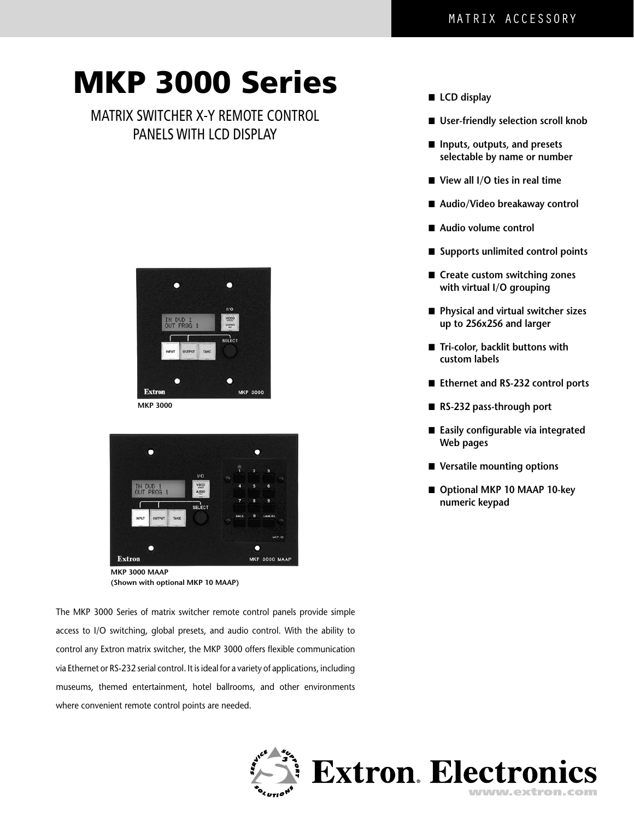# MKP 3000 Series

### MATRIX SWITCHER X-Y REMOTE CONTROL PANELS WITH LCD DISPLAY





**MKP 3000 MAAP (Shown with optional MKP 10 MAAP)**

The MKP 3000 Series of matrix switcher remote control panels provide simple access to I/O switching, global presets, and audio control. With the ability to control any Extron matrix switcher, the MKP 3000 offers flexible communication via Ethernet or RS-232 serial control. It is ideal for a variety of applications, including museums, themed entertainment, hotel ballrooms, and other environments where convenient remote control points are needed.

Extron. Electronics

- LCD display
- User-friendly selection scroll knob
- ■ **Inputs, outputs, and presets selectable by name or number**
- View all I/O ties in real time
- Audio/Video breakaway control
- Audio volume control
- Supports unlimited control points
- Create custom switching zones **with virtual I/O grouping**
- ■ **Physical and virtual switcher sizes up to 256x256 and larger**
- **Tri-color, backlit buttons with custom labels**
- Ethernet and RS-232 control ports
- RS-232 pass-through port
- Easily configurable via integrated **Web pages**
- Versatile mounting options
- Optional MKP 10 MAAP 10-key **numeric keypad**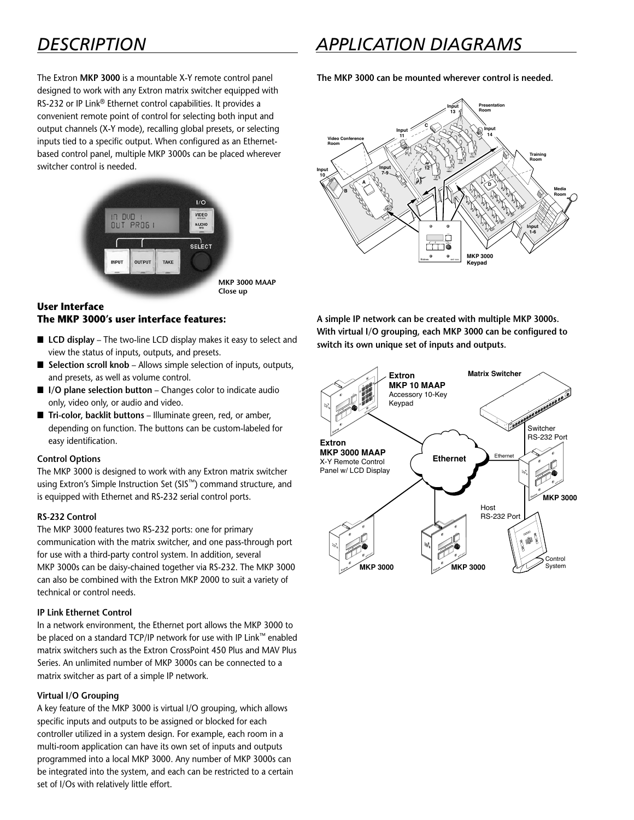### *DESCRIPTION APPLICATION DIAGRAMS*

The Extron **MKP 3000** is a mountable X-Y remote control panel designed to work with any Extron matrix switcher equipped with RS-232 or IP Link® Ethernet control capabilities. It provides a convenient remote point of control for selecting both input and output channels (X-Y mode), recalling global presets, or selecting inputs tied to a specific output. When configured as an Ethernetbased control panel, multiple MKP 3000s can be placed wherever switcher control is needed.



### **User Interface The MKP 3000's user interface features:**

- LCD display The two-line LCD display makes it easy to select and view the status of inputs, outputs, and presets.
- Selection scroll knob Allows simple selection of inputs, outputs, and presets, as well as volume control.
- **I/O plane selection button** Changes color to indicate audio only, video only, or audio and video.
- **Tri-color, backlit buttons** Illuminate green, red, or amber, depending on function. The buttons can be custom-labeled for easy identification.

#### **Control Options**

The MKP 3000 is designed to work with any Extron matrix switcher using Extron's Simple Instruction Set (SIS™) command structure, and is equipped with Ethernet and RS-232 serial control ports.

#### **RS-232 Control**

The MKP 3000 features two RS-232 ports: one for primary communication with the matrix switcher, and one pass-through port for use with a third-party control system. In addition, several MKP 3000s can be daisy-chained together via RS-232. The MKP 3000 can also be combined with the Extron MKP 2000 to suit a variety of technical or control needs.

#### **IP Link Ethernet Control**

In a network environment, the Ethernet port allows the MKP 3000 to be placed on a standard TCP/IP network for use with IP Link™ enabled matrix switchers such as the Extron CrossPoint 450 Plus and MAV Plus Series. An unlimited number of MKP 3000s can be connected to a matrix switcher as part of a simple IP network.

#### **Virtual I/O Grouping**

A key feature of the MKP 3000 is virtual I/O grouping, which allows specific inputs and outputs to be assigned or blocked for each controller utilized in a system design. For example, each room in a multi-room application can have its own set of inputs and outputs programmed into a local MKP 3000. Any number of MKP 3000s can be integrated into the system, and each can be restricted to a certain set of I/Os with relatively little effort.

**The MKP 3000 can be mounted wherever control is needed.**



**A simple IP network can be created with multiple MKP 3000s. With virtual I/O grouping, each MKP 3000 can be configured to switch its own unique set of inputs and outputs.**

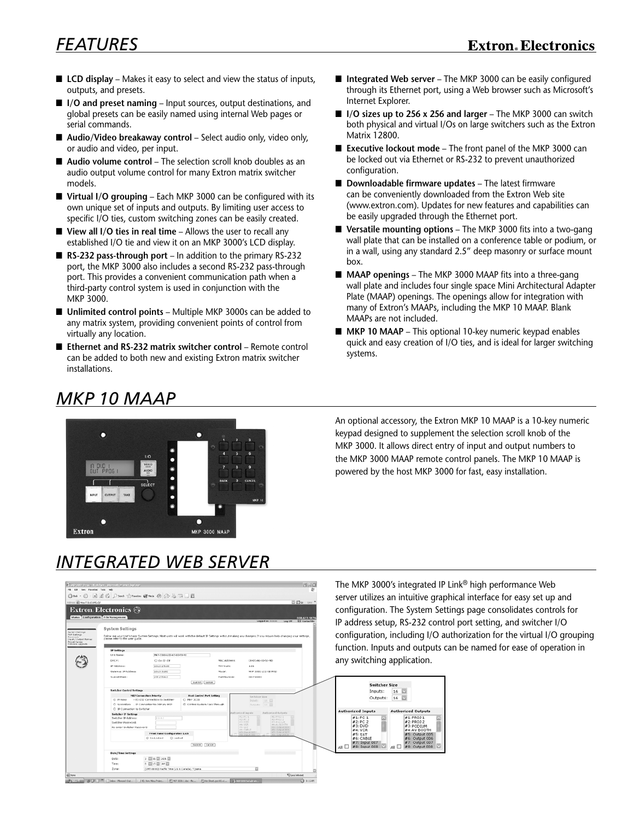- **LCD display** Makes it easy to select and view the status of inputs, outputs, and presets.
- **I/O and preset naming** Input sources, output destinations, and global presets can be easily named using internal Web pages or serial commands.
- Audio/Video breakaway control Select audio only, video only, or audio and video, per input.
- **Audio volume control** The selection scroll knob doubles as an audio output volume control for many Extron matrix switcher models.
- Virtual I/O grouping Each MKP 3000 can be configured with its own unique set of inputs and outputs. By limiting user access to specific I/O ties, custom switching zones can be easily created.
- **View all I/O ties in real time Allows the user to recall any** established I/O tie and view it on an MKP 3000's LCD display.
- **RS-232 pass-through port** In addition to the primary RS-232 port, the MKP 3000 also includes a second RS-232 pass-through port. This provides a convenient communication path when a third-party control system is used in conjunction with the MKP 3000.
- Unlimited control points Multiple MKP 3000s can be added to any matrix system, providing convenient points of control from virtually any location.
- Ethernet and RS-232 matrix switcher control Remote control can be added to both new and existing Extron matrix switcher installations.
- **Integrated Web server** The MKP 3000 can be easily configured through its Ethernet port, using a Web browser such as Microsoft's Internet Explorer.
- **I/O sizes up to 256 x 256 and larger** The MKP 3000 can switch both physical and virtual I/Os on large switchers such as the Extron Matrix 12800.
- **Executive lockout mode** The front panel of the MKP 3000 can be locked out via Ethernet or RS-232 to prevent unauthorized configuration.
- **Downloadable firmware updates** The latest firmware can be conveniently downloaded from the Extron Web site (www.extron.com). Updates for new features and capabilities can be easily upgraded through the Ethernet port.
- Versatile mounting options The MKP 3000 fits into a two-gang wall plate that can be installed on a conference table or podium, or in a wall, using any standard 2.5" deep masonry or surface mount box.
- **MAAP openings** The MKP 3000 MAAP fits into a three-gang wall plate and includes four single space Mini Architectural Adapter Plate (MAAP) openings. The openings allow for integration with many of Extron's MAAPs, including the MKP 10 MAAP. Blank MAAPs are not included.
- MKP 10 MAAP This optional 10-key numeric keypad enables quick and easy creation of I/O ties, and is ideal for larger switching systems.

### *MKP 10 MAAP*



An optional accessory, the Extron MKP 10 MAAP is a 10-key numeric keypad designed to supplement the selection scroll knob of the MKP 3000. It allows direct entry of input and output numbers to the MKP 3000 MAAP remote control panels. The MKP 10 MAAP is powered by the host MKP 3000 for fast, easy installation.

## *INTEGRATED WEB SERVER*



The MKP 3000's integrated IP Link® high performance Web server utilizes an intuitive graphical interface for easy set up and configuration. The System Settings page consolidates controls for IP address setup, RS-232 control port setting, and switcher I/O configuration, including I/O authorization for the virtual I/O grouping function. Inputs and outputs can be named for ease of operation in any switching application.